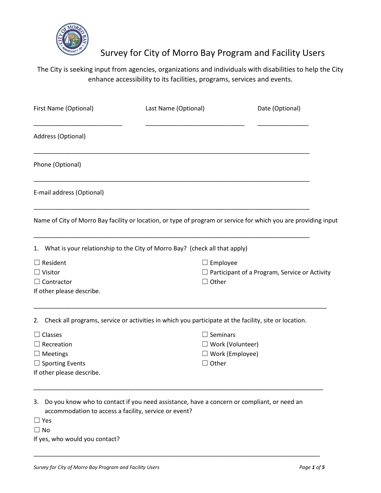

## Survey for City of Morro Bay Program and Facility Users

## The City is seeking input from agencies, organizations and individuals with disabilities to help the City enhance accessibility to its facilities, programs, services and events.

| First Name (Optional)                                                                                                                                     | Last Name (Optional)   | Date (Optional)                                      |  |
|-----------------------------------------------------------------------------------------------------------------------------------------------------------|------------------------|------------------------------------------------------|--|
| Address (Optional)                                                                                                                                        |                        |                                                      |  |
| Phone (Optional)                                                                                                                                          |                        |                                                      |  |
| E-mail address (Optional)                                                                                                                                 |                        |                                                      |  |
| Name of City of Morro Bay facility or location, or type of program or service for which you are providing input                                           |                        |                                                      |  |
| 1. What is your relationship to the City of Morro Bay? (check all that apply)                                                                             |                        |                                                      |  |
| $\Box$ Resident                                                                                                                                           | $\Box$ Employee        |                                                      |  |
| $\Box$ Visitor                                                                                                                                            |                        | $\Box$ Participant of a Program, Service or Activity |  |
| $\Box$ Contractor                                                                                                                                         | $\Box$ Other           |                                                      |  |
| If other please describe.                                                                                                                                 |                        |                                                      |  |
| 2. Check all programs, service or activities in which you participate at the facility, site or location.                                                  |                        |                                                      |  |
| $\Box$ Classes                                                                                                                                            | $\Box$ Seminars        |                                                      |  |
| $\Box$ Recreation                                                                                                                                         |                        | $\Box$ Work (Volunteer)                              |  |
| $\Box$ Meetings                                                                                                                                           | $\Box$ Work (Employee) |                                                      |  |
| $\Box$ Sporting Events                                                                                                                                    | $\Box$ Other           |                                                      |  |
| If other please describe.                                                                                                                                 |                        |                                                      |  |
|                                                                                                                                                           |                        |                                                      |  |
| Do you know who to contact if you need assistance, have a concern or compliant, or need an<br>3.<br>accommodation to access a facility, service or event? |                        |                                                      |  |
| $\Box$ Yes                                                                                                                                                |                        |                                                      |  |
| $\Box$ No                                                                                                                                                 |                        |                                                      |  |

\_\_\_\_\_\_\_\_\_\_\_\_\_\_\_\_\_\_\_\_\_\_\_\_\_\_\_\_\_\_\_\_\_\_\_\_\_\_\_\_\_\_\_\_\_\_\_\_\_\_\_\_\_\_\_\_\_\_\_\_\_\_\_\_\_\_\_\_\_\_\_\_\_\_\_\_\_\_\_\_\_\_\_\_

If yes, who would you contact?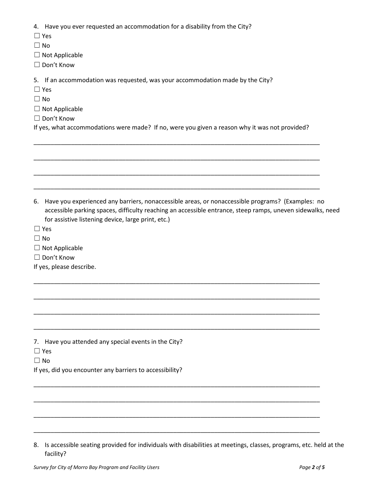4. Have you ever requested an accommodation for a disability from the City?

- ☐ Yes
- $\Box$  No
- ☐ Not Applicable
- ☐ Don't Know

5. If an accommodation was requested, was your accommodation made by the City?

- ☐ Yes
- $\Box$  No
- $\Box$  Not Applicable
- ☐ Don't Know

If yes, what accommodations were made? If no, were you given a reason why it was not provided?

\_\_\_\_\_\_\_\_\_\_\_\_\_\_\_\_\_\_\_\_\_\_\_\_\_\_\_\_\_\_\_\_\_\_\_\_\_\_\_\_\_\_\_\_\_\_\_\_\_\_\_\_\_\_\_\_\_\_\_\_\_\_\_\_\_\_\_\_\_\_\_\_\_\_\_\_\_\_\_\_\_\_\_\_

\_\_\_\_\_\_\_\_\_\_\_\_\_\_\_\_\_\_\_\_\_\_\_\_\_\_\_\_\_\_\_\_\_\_\_\_\_\_\_\_\_\_\_\_\_\_\_\_\_\_\_\_\_\_\_\_\_\_\_\_\_\_\_\_\_\_\_\_\_\_\_\_\_\_\_\_\_\_\_\_\_\_\_\_ \_\_\_\_\_\_\_\_\_\_\_\_\_\_\_\_\_\_\_\_\_\_\_\_\_\_\_\_\_\_\_\_\_\_\_\_\_\_\_\_\_\_\_\_\_\_\_\_\_\_\_\_\_\_\_\_\_\_\_\_\_\_\_\_\_\_\_\_\_\_\_\_\_\_\_\_\_\_\_\_\_\_\_\_ \_\_\_\_\_\_\_\_\_\_\_\_\_\_\_\_\_\_\_\_\_\_\_\_\_\_\_\_\_\_\_\_\_\_\_\_\_\_\_\_\_\_\_\_\_\_\_\_\_\_\_\_\_\_\_\_\_\_\_\_\_\_\_\_\_\_\_\_\_\_\_\_\_\_\_\_\_\_\_\_\_\_\_\_ 6. Have you experienced any barriers, nonaccessible areas, or nonaccessible programs? (Examples: no accessible parking spaces, difficulty reaching an accessible entrance, steep ramps, uneven sidewalks, need for assistive listening device, large print, etc.) ☐ Yes  $\Box$  No  $\Box$  Not Applicable ☐ Don't Know If yes, please describe. \_\_\_\_\_\_\_\_\_\_\_\_\_\_\_\_\_\_\_\_\_\_\_\_\_\_\_\_\_\_\_\_\_\_\_\_\_\_\_\_\_\_\_\_\_\_\_\_\_\_\_\_\_\_\_\_\_\_\_\_\_\_\_\_\_\_\_\_\_\_\_\_\_\_\_\_\_\_\_\_\_\_\_\_ \_\_\_\_\_\_\_\_\_\_\_\_\_\_\_\_\_\_\_\_\_\_\_\_\_\_\_\_\_\_\_\_\_\_\_\_\_\_\_\_\_\_\_\_\_\_\_\_\_\_\_\_\_\_\_\_\_\_\_\_\_\_\_\_\_\_\_\_\_\_\_\_\_\_\_\_\_\_\_\_\_\_\_\_ \_\_\_\_\_\_\_\_\_\_\_\_\_\_\_\_\_\_\_\_\_\_\_\_\_\_\_\_\_\_\_\_\_\_\_\_\_\_\_\_\_\_\_\_\_\_\_\_\_\_\_\_\_\_\_\_\_\_\_\_\_\_\_\_\_\_\_\_\_\_\_\_\_\_\_\_\_\_\_\_\_\_\_\_ \_\_\_\_\_\_\_\_\_\_\_\_\_\_\_\_\_\_\_\_\_\_\_\_\_\_\_\_\_\_\_\_\_\_\_\_\_\_\_\_\_\_\_\_\_\_\_\_\_\_\_\_\_\_\_\_\_\_\_\_\_\_\_\_\_\_\_\_\_\_\_\_\_\_\_\_\_\_\_\_\_\_\_\_ 7. Have you attended any special events in the City? ☐ Yes  $\Box$  No If yes, did you encounter any barriers to accessibility? \_\_\_\_\_\_\_\_\_\_\_\_\_\_\_\_\_\_\_\_\_\_\_\_\_\_\_\_\_\_\_\_\_\_\_\_\_\_\_\_\_\_\_\_\_\_\_\_\_\_\_\_\_\_\_\_\_\_\_\_\_\_\_\_\_\_\_\_\_\_\_\_\_\_\_\_\_\_\_\_\_\_\_\_ \_\_\_\_\_\_\_\_\_\_\_\_\_\_\_\_\_\_\_\_\_\_\_\_\_\_\_\_\_\_\_\_\_\_\_\_\_\_\_\_\_\_\_\_\_\_\_\_\_\_\_\_\_\_\_\_\_\_\_\_\_\_\_\_\_\_\_\_\_\_\_\_\_\_\_\_\_\_\_\_\_\_\_\_ \_\_\_\_\_\_\_\_\_\_\_\_\_\_\_\_\_\_\_\_\_\_\_\_\_\_\_\_\_\_\_\_\_\_\_\_\_\_\_\_\_\_\_\_\_\_\_\_\_\_\_\_\_\_\_\_\_\_\_\_\_\_\_\_\_\_\_\_\_\_\_\_\_\_\_\_\_\_\_\_\_\_\_\_ \_\_\_\_\_\_\_\_\_\_\_\_\_\_\_\_\_\_\_\_\_\_\_\_\_\_\_\_\_\_\_\_\_\_\_\_\_\_\_\_\_\_\_\_\_\_\_\_\_\_\_\_\_\_\_\_\_\_\_\_\_\_\_\_\_\_\_\_\_\_\_\_\_\_\_\_\_\_\_\_\_\_\_\_

<sup>8.</sup> Is accessible seating provided for individuals with disabilities at meetings, classes, programs, etc. held at the facility?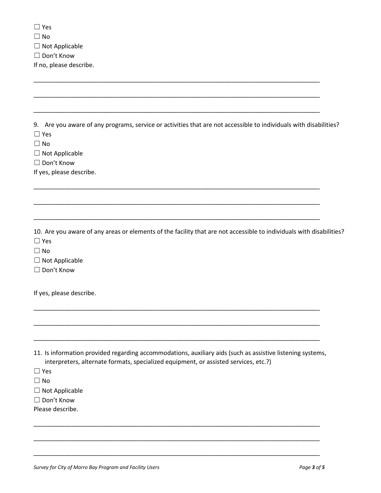| $\Box$ Yes                                                                                                                                                                                         |
|----------------------------------------------------------------------------------------------------------------------------------------------------------------------------------------------------|
| $\Box$ No                                                                                                                                                                                          |
| $\Box$ Not Applicable                                                                                                                                                                              |
| □ Don't Know                                                                                                                                                                                       |
| If no, please describe.                                                                                                                                                                            |
|                                                                                                                                                                                                    |
|                                                                                                                                                                                                    |
|                                                                                                                                                                                                    |
|                                                                                                                                                                                                    |
| 9. Are you aware of any programs, service or activities that are not accessible to individuals with disabilities?                                                                                  |
| $\Box$ Yes                                                                                                                                                                                         |
| $\Box$ No                                                                                                                                                                                          |
| $\Box$ Not Applicable                                                                                                                                                                              |
| □ Don't Know                                                                                                                                                                                       |
| If yes, please describe.                                                                                                                                                                           |
|                                                                                                                                                                                                    |
|                                                                                                                                                                                                    |
|                                                                                                                                                                                                    |
|                                                                                                                                                                                                    |
| 10. Are you aware of any areas or elements of the facility that are not accessible to individuals with disabilities?<br>$\Box$ Yes<br>$\Box$ No<br>$\Box$ Not Applicable<br>□ Don't Know           |
| If yes, please describe.                                                                                                                                                                           |
|                                                                                                                                                                                                    |
|                                                                                                                                                                                                    |
|                                                                                                                                                                                                    |
| 11. Is information provided regarding accommodations, auxiliary aids (such as assistive listening systems,<br>interpreters, alternate formats, specialized equipment, or assisted services, etc.?) |
| $\Box$ Yes                                                                                                                                                                                         |
| $\Box$ No                                                                                                                                                                                          |
| $\Box$ Not Applicable                                                                                                                                                                              |
| Don't Know<br>$\Box$                                                                                                                                                                               |
| Please describe.                                                                                                                                                                                   |
|                                                                                                                                                                                                    |
|                                                                                                                                                                                                    |
|                                                                                                                                                                                                    |

\_\_\_\_\_\_\_\_\_\_\_\_\_\_\_\_\_\_\_\_\_\_\_\_\_\_\_\_\_\_\_\_\_\_\_\_\_\_\_\_\_\_\_\_\_\_\_\_\_\_\_\_\_\_\_\_\_\_\_\_\_\_\_\_\_\_\_\_\_\_\_\_\_\_\_\_\_\_\_\_\_\_\_\_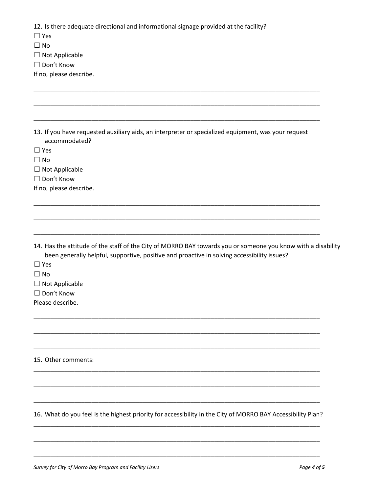12. Is there adequate directional and informational signage provided at the facility?

☐ Yes

 $\square$  No

☐ Not Applicable

☐ Don't Know

If no, please describe.

13. If you have requested auxiliary aids, an interpreter or specialized equipment, was your request accommodated?

\_\_\_\_\_\_\_\_\_\_\_\_\_\_\_\_\_\_\_\_\_\_\_\_\_\_\_\_\_\_\_\_\_\_\_\_\_\_\_\_\_\_\_\_\_\_\_\_\_\_\_\_\_\_\_\_\_\_\_\_\_\_\_\_\_\_\_\_\_\_\_\_\_\_\_\_\_\_\_\_\_\_\_\_

\_\_\_\_\_\_\_\_\_\_\_\_\_\_\_\_\_\_\_\_\_\_\_\_\_\_\_\_\_\_\_\_\_\_\_\_\_\_\_\_\_\_\_\_\_\_\_\_\_\_\_\_\_\_\_\_\_\_\_\_\_\_\_\_\_\_\_\_\_\_\_\_\_\_\_\_\_\_\_\_\_\_\_\_

\_\_\_\_\_\_\_\_\_\_\_\_\_\_\_\_\_\_\_\_\_\_\_\_\_\_\_\_\_\_\_\_\_\_\_\_\_\_\_\_\_\_\_\_\_\_\_\_\_\_\_\_\_\_\_\_\_\_\_\_\_\_\_\_\_\_\_\_\_\_\_\_\_\_\_\_\_\_\_\_\_\_\_\_

\_\_\_\_\_\_\_\_\_\_\_\_\_\_\_\_\_\_\_\_\_\_\_\_\_\_\_\_\_\_\_\_\_\_\_\_\_\_\_\_\_\_\_\_\_\_\_\_\_\_\_\_\_\_\_\_\_\_\_\_\_\_\_\_\_\_\_\_\_\_\_\_\_\_\_\_\_\_\_\_\_\_\_\_

\_\_\_\_\_\_\_\_\_\_\_\_\_\_\_\_\_\_\_\_\_\_\_\_\_\_\_\_\_\_\_\_\_\_\_\_\_\_\_\_\_\_\_\_\_\_\_\_\_\_\_\_\_\_\_\_\_\_\_\_\_\_\_\_\_\_\_\_\_\_\_\_\_\_\_\_\_\_\_\_\_\_\_\_

\_\_\_\_\_\_\_\_\_\_\_\_\_\_\_\_\_\_\_\_\_\_\_\_\_\_\_\_\_\_\_\_\_\_\_\_\_\_\_\_\_\_\_\_\_\_\_\_\_\_\_\_\_\_\_\_\_\_\_\_\_\_\_\_\_\_\_\_\_\_\_\_\_\_\_\_\_\_\_\_\_\_\_\_

\_\_\_\_\_\_\_\_\_\_\_\_\_\_\_\_\_\_\_\_\_\_\_\_\_\_\_\_\_\_\_\_\_\_\_\_\_\_\_\_\_\_\_\_\_\_\_\_\_\_\_\_\_\_\_\_\_\_\_\_\_\_\_\_\_\_\_\_\_\_\_\_\_\_\_\_\_\_\_\_\_\_\_\_

\_\_\_\_\_\_\_\_\_\_\_\_\_\_\_\_\_\_\_\_\_\_\_\_\_\_\_\_\_\_\_\_\_\_\_\_\_\_\_\_\_\_\_\_\_\_\_\_\_\_\_\_\_\_\_\_\_\_\_\_\_\_\_\_\_\_\_\_\_\_\_\_\_\_\_\_\_\_\_\_\_\_\_\_

\_\_\_\_\_\_\_\_\_\_\_\_\_\_\_\_\_\_\_\_\_\_\_\_\_\_\_\_\_\_\_\_\_\_\_\_\_\_\_\_\_\_\_\_\_\_\_\_\_\_\_\_\_\_\_\_\_\_\_\_\_\_\_\_\_\_\_\_\_\_\_\_\_\_\_\_\_\_\_\_\_\_\_\_

\_\_\_\_\_\_\_\_\_\_\_\_\_\_\_\_\_\_\_\_\_\_\_\_\_\_\_\_\_\_\_\_\_\_\_\_\_\_\_\_\_\_\_\_\_\_\_\_\_\_\_\_\_\_\_\_\_\_\_\_\_\_\_\_\_\_\_\_\_\_\_\_\_\_\_\_\_\_\_\_\_\_\_\_

\_\_\_\_\_\_\_\_\_\_\_\_\_\_\_\_\_\_\_\_\_\_\_\_\_\_\_\_\_\_\_\_\_\_\_\_\_\_\_\_\_\_\_\_\_\_\_\_\_\_\_\_\_\_\_\_\_\_\_\_\_\_\_\_\_\_\_\_\_\_\_\_\_\_\_\_\_\_\_\_\_\_\_\_

\_\_\_\_\_\_\_\_\_\_\_\_\_\_\_\_\_\_\_\_\_\_\_\_\_\_\_\_\_\_\_\_\_\_\_\_\_\_\_\_\_\_\_\_\_\_\_\_\_\_\_\_\_\_\_\_\_\_\_\_\_\_\_\_\_\_\_\_\_\_\_\_\_\_\_\_\_\_\_\_\_\_\_\_

☐ Yes

☐ No

 $\Box$  Not Applicable

☐ Don't Know

If no, please describe.

14. Has the attitude of the staff of the City of MORRO BAY towards you or someone you know with a disability been generally helpful, supportive, positive and proactive in solving accessibility issues?

☐ Yes

 $\square$  No

 $\Box$  Not Applicable

☐ Don't Know

Please describe.

15. Other comments:

16. What do you feel is the highest priority for accessibility in the City of MORRO BAY Accessibility Plan? \_\_\_\_\_\_\_\_\_\_\_\_\_\_\_\_\_\_\_\_\_\_\_\_\_\_\_\_\_\_\_\_\_\_\_\_\_\_\_\_\_\_\_\_\_\_\_\_\_\_\_\_\_\_\_\_\_\_\_\_\_\_\_\_\_\_\_\_\_\_\_\_\_\_\_\_\_\_\_\_\_\_\_\_

\_\_\_\_\_\_\_\_\_\_\_\_\_\_\_\_\_\_\_\_\_\_\_\_\_\_\_\_\_\_\_\_\_\_\_\_\_\_\_\_\_\_\_\_\_\_\_\_\_\_\_\_\_\_\_\_\_\_\_\_\_\_\_\_\_\_\_\_\_\_\_\_\_\_\_\_\_\_\_\_\_\_\_\_

\_\_\_\_\_\_\_\_\_\_\_\_\_\_\_\_\_\_\_\_\_\_\_\_\_\_\_\_\_\_\_\_\_\_\_\_\_\_\_\_\_\_\_\_\_\_\_\_\_\_\_\_\_\_\_\_\_\_\_\_\_\_\_\_\_\_\_\_\_\_\_\_\_\_\_\_\_\_\_\_\_\_\_\_